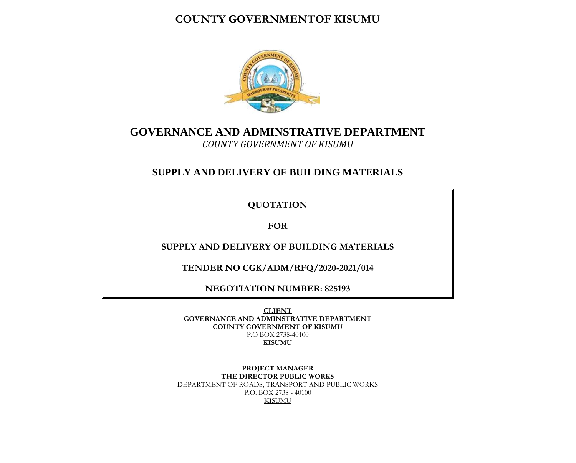## **COUNTY GOVERNMENTOF KISUMU**



## **GOVERNANCE AND ADMINSTRATIVE DEPARTMENT** *COUNTY GOVERNMENT OF KISUMU*

## **SUPPLY AND DELIVERY OF BUILDING MATERIALS**

**QUOTATION**

**FOR**

**SUPPLY AND DELIVERY OF BUILDING MATERIALS**

**TENDER NO CGK/ADM/RFQ/2020-2021/014**

**NEGOTIATION NUMBER: 825193**

**CLIENT GOVERNANCE AND ADMINSTRATIVE DEPARTMENT COUNTY GOVERNMENT OF KISUMU** P.O BOX 2738-40100 **KISUMU**

**PROJECT MANAGER THE DIRECTOR PUBLIC WORKS** DEPARTMENT OF ROADS, TRANSPORT AND PUBLIC WORKS P.O. BOX 2738 - 40100 KISUMU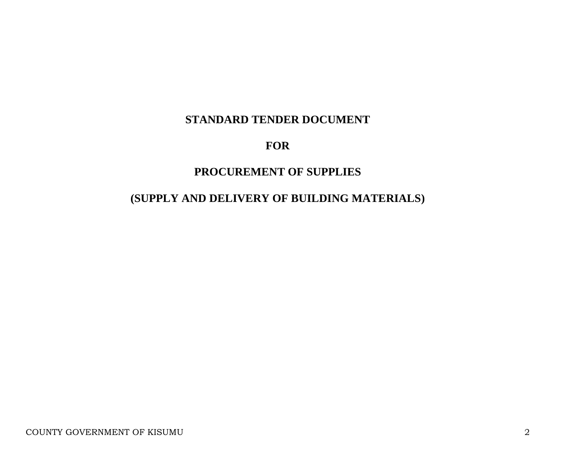# **STANDARD TENDER DOCUMENT**

# **FOR**

# **PROCUREMENT OF SUPPLIES**

# **(SUPPLY AND DELIVERY OF BUILDING MATERIALS)**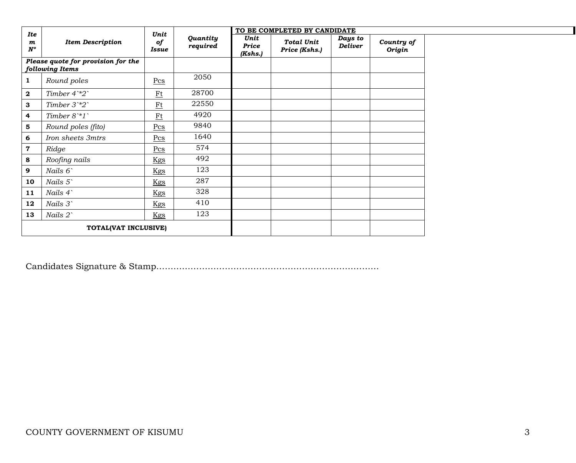| <b>Ite</b>                      |                                                       | Unit                      |                      |                          | TO BE COMPLETED BY CANDIDATE       |                           |                      |
|---------------------------------|-------------------------------------------------------|---------------------------|----------------------|--------------------------|------------------------------------|---------------------------|----------------------|
| $\boldsymbol{m}$<br>$N^{\circ}$ | <b>Item Description</b>                               | of<br>Issue               | Quantity<br>required | Unit<br>Price<br>(Kshs.) | <b>Total Unit</b><br>Price (Kshs.) | Days to<br><b>Deliver</b> | Country of<br>Origin |
|                                 | Please quote for provision for the<br>following Items |                           |                      |                          |                                    |                           |                      |
| 1                               | Round poles                                           | $Pcs$                     | 2050                 |                          |                                    |                           |                      |
| $\mathbf{2}$                    | Timber $4^*2$                                         | $Ft$                      | 28700                |                          |                                    |                           |                      |
| 3                               | Timber $3^*2$                                         | $\underline{\mathrm{Ft}}$ | 22550                |                          |                                    |                           |                      |
| 4                               | Timber $8^*1$                                         | $Ft$                      | 4920                 |                          |                                    |                           |                      |
| 5                               | Round poles (fito)                                    | Pcs                       | 9840                 |                          |                                    |                           |                      |
| 6                               | Iron sheets 3mtrs                                     | Pcs                       | 1640                 |                          |                                    |                           |                      |
| 7                               | Ridge                                                 | Pcs                       | 574                  |                          |                                    |                           |                      |
| 8                               | Roofing nails                                         | Kgs                       | 492                  |                          |                                    |                           |                      |
| 9                               | Nails 6                                               | <u>Kgs</u>                | 123                  |                          |                                    |                           |                      |
| 10                              | Nails 5                                               | Kgs                       | 287                  |                          |                                    |                           |                      |
| 11                              | Nails 4                                               | Kgs                       | 328                  |                          |                                    |                           |                      |
| 12                              | Nails 3                                               | Kgs                       | 410                  |                          |                                    |                           |                      |
| 13                              | Nails 2`                                              | Kgs                       | 123                  |                          |                                    |                           |                      |
|                                 | TOTAL(VAT INCLUSIVE)                                  |                           |                      |                          |                                    |                           |                      |

Candidates Signature & Stamp……………………………………………………………………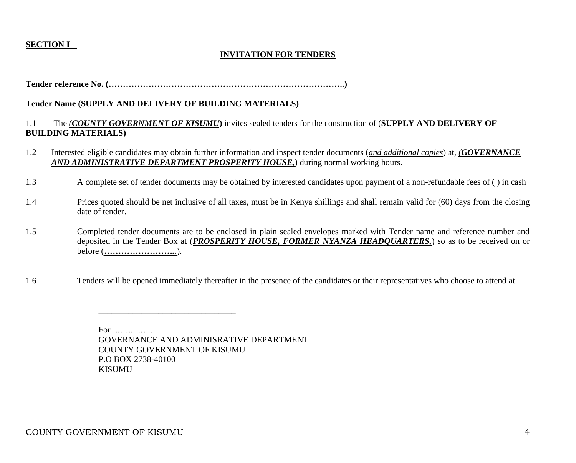## **SECTION I**

## **INVITATION FOR TENDERS**

**Tender reference No. (………………………………………………………………………..)**

## **Tender Name (SUPPLY AND DELIVERY OF BUILDING MATERIALS)**

## 1.1 The *(COUNTY GOVERNMENT OF KISUMU***)** invites sealed tenders for the construction of (**SUPPLY AND DELIVERY OF BUILDING MATERIALS)**

- 1.2 Interested eligible candidates may obtain further information and inspect tender documents (*and additional copies*) at, *(GOVERNANCE AND ADMINISTRATIVE DEPARTMENT PROSPERITY HOUSE,*) during normal working hours.
- 1.3 A complete set of tender documents may be obtained by interested candidates upon payment of a non-refundable fees of ( ) in cash
- 1.4 Prices quoted should be net inclusive of all taxes, must be in Kenya shillings and shall remain valid for (60) days from the closing date of tender.
- 1.5 Completed tender documents are to be enclosed in plain sealed envelopes marked with Tender name and reference number and deposited in the Tender Box at (*PROSPERITY HOUSE, FORMER NYANZA HEADQUARTERS,*) so as to be received on or before (*……………………..*).
- 1.6 Tenders will be opened immediately thereafter in the presence of the candidates or their representatives who choose to attend at

 For *…………….* GOVERNANCE AND ADMINISRATIVE DEPARTMENT COUNTY GOVERNMENT OF KISUMU P.O BOX 2738-40100 KISUMU

 $\overline{\phantom{a}}$  ,  $\overline{\phantom{a}}$  ,  $\overline{\phantom{a}}$  ,  $\overline{\phantom{a}}$  ,  $\overline{\phantom{a}}$  ,  $\overline{\phantom{a}}$  ,  $\overline{\phantom{a}}$  ,  $\overline{\phantom{a}}$  ,  $\overline{\phantom{a}}$  ,  $\overline{\phantom{a}}$  ,  $\overline{\phantom{a}}$  ,  $\overline{\phantom{a}}$  ,  $\overline{\phantom{a}}$  ,  $\overline{\phantom{a}}$  ,  $\overline{\phantom{a}}$  ,  $\overline{\phantom{a}}$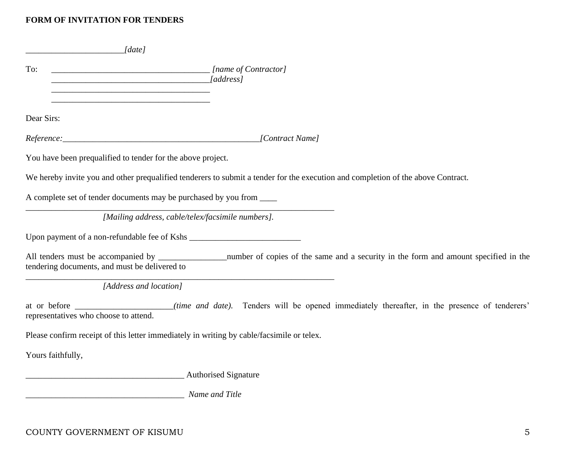## **FORM OF INVITATION FOR TENDERS**

| $\lceil$ date]                                                                                                                                |                                                                                                                                  |
|-----------------------------------------------------------------------------------------------------------------------------------------------|----------------------------------------------------------------------------------------------------------------------------------|
| To:<br><u> 1989 - Johann John Stone, mars eta biztanleria (h. 1989).</u><br><u> 1989 - Johann John Stone, mars eta biztanleria (h. 1989).</u> | <i>Mame of Contractor</i> [ <i>name of Contractor</i> ]                                                                          |
| Dear Sirs:                                                                                                                                    |                                                                                                                                  |
|                                                                                                                                               |                                                                                                                                  |
| You have been prequalified to tender for the above project.                                                                                   |                                                                                                                                  |
|                                                                                                                                               | We hereby invite you and other prequalified tenderers to submit a tender for the execution and completion of the above Contract. |
| A complete set of tender documents may be purchased by you from _____                                                                         |                                                                                                                                  |
|                                                                                                                                               | [Mailing address, cable/telex/facsimile numbers].                                                                                |
|                                                                                                                                               |                                                                                                                                  |
| tendering documents, and must be delivered to                                                                                                 |                                                                                                                                  |
| [Address and location]                                                                                                                        |                                                                                                                                  |
| representatives who choose to attend.                                                                                                         | at or before ___________________(time and date). Tenders will be opened immediately thereafter, in the presence of tenderers'    |
|                                                                                                                                               | Please confirm receipt of this letter immediately in writing by cable/facsimile or telex.                                        |
| Yours faithfully,                                                                                                                             |                                                                                                                                  |
|                                                                                                                                               |                                                                                                                                  |
| Authorised Signature                                                                                                                          |                                                                                                                                  |

COUNTY GOVERNMENT OF KISUMU 5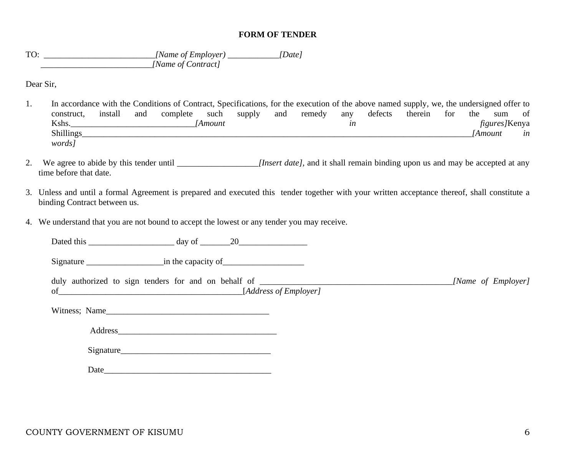#### **FORM OF TENDER**

TO: \_\_\_\_\_\_\_\_\_\_\_\_\_\_\_\_\_\_\_\_\_\_\_\_\_\_*[Name of Employer) \_\_\_\_\_\_\_\_\_\_\_\_[Date] <i> [Name of Contract]* 

Dear Sir,

- 1. In accordance with the Conditions of Contract, Specifications, for the execution of the above named supply, we, the undersigned offer to construct, install and complete such supply and remedy any defects therein for the sum of Kshs.\_\_\_\_\_\_\_\_\_\_\_\_\_\_\_\_\_\_\_\_\_\_\_\_\_\_\_\_\_*[Amount in figures]*Kenya Shillings*\_\_\_\_\_\_\_\_\_\_\_\_\_\_\_\_\_\_\_\_\_\_\_\_\_\_\_\_\_\_\_\_\_\_\_\_\_\_\_\_\_\_\_\_\_\_\_\_\_\_\_\_\_\_\_\_\_\_\_\_\_\_\_\_\_\_\_\_\_\_\_\_\_\_\_\_\_\_\_\_\_\_\_\_\_\_\_\_\_\_\_[Amount in words]*
- 2. We agree to abide by this tender until *[Insert date]*, and it shall remain binding upon us and may be accepted at any time before that date.
- 3. Unless and until a formal Agreement is prepared and executed this tender together with your written acceptance thereof, shall constitute a binding Contract between us.
- 4. We understand that you are not bound to accept the lowest or any tender you may receive.

Dated this \_\_\_\_\_\_\_\_\_\_\_\_\_\_\_\_\_\_\_\_ day of \_\_\_\_\_\_\_20\_\_\_\_\_\_\_\_\_\_\_\_\_\_\_\_

Signature \_\_\_\_\_\_\_\_\_\_\_\_\_\_\_\_\_\_in the capacity of\_\_\_\_\_\_\_\_\_\_\_\_\_\_\_\_\_\_\_

duly authorized to sign tenders for and on behalf of *\_\_\_\_\_\_\_\_\_\_\_\_\_\_\_\_\_\_\_\_\_\_\_\_\_\_\_\_\_\_\_\_\_\_\_\_\_\_\_\_\_\_\_\_\_[Name of Employer]*  of*\_\_\_\_\_\_\_\_\_\_\_\_\_\_\_\_\_\_\_*\_\_\_\_\_\_\_\_\_\_\_\_\_\_\_\_\_\_\_\_\_\_\_\_[*Address of Employer]*

Witness; Name

Address\_\_\_\_\_\_\_\_\_\_\_\_\_\_\_\_\_\_\_\_\_\_\_\_\_\_\_\_\_\_\_\_\_\_\_\_\_

| $\tilde{\phantom{a}}$<br>Signature<br>້ |  |  |
|-----------------------------------------|--|--|
|                                         |  |  |

Date\_\_\_\_\_\_\_\_\_\_\_\_\_\_\_\_\_\_\_\_\_\_\_\_\_\_\_\_\_\_\_\_\_\_\_\_\_\_\_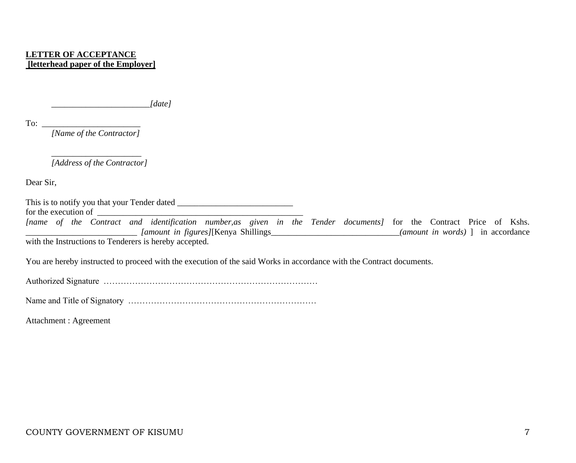## **LETTER OF ACCEPTANCE [letterhead paper of the Employer]**

*\_\_\_\_\_\_\_\_\_\_\_\_\_\_\_\_\_\_\_\_\_\_\_[date]*

To:  $\frac{1}{\sqrt{1-\frac{1}{2}}}\left\{ \frac{1}{2}, \frac{1}{2}, \frac{1}{2}, \frac{1}{2}, \ldots, \frac{1}{2} \right\}$ 

*[Name of the Contractor]*

\_\_\_\_\_\_\_\_\_\_\_\_\_\_\_\_\_\_\_\_\_ *[Address of the Contractor]*

Dear Sir,

This is to notify you that your Tender dated \_\_\_\_\_\_\_\_\_\_\_\_\_\_\_\_\_\_\_\_\_\_\_\_\_\_\_\_\_\_\_\_\_\_\_ for the execution of  $\qquad \qquad$ 

*[name of the Contract and identification number,as given in the Tender documents]* for the Contract Price of Kshs. \_\_\_\_\_\_\_\_\_\_\_\_\_\_\_\_\_\_\_\_\_\_\_\_\_\_ *[amount in figures]*[Kenya Shillings\_\_\_\_\_\_\_\_\_\_\_\_\_\_\_\_\_\_\_\_\_\_\_\_\_\_\_\_\_\_*(amount in words)* ] in accordance

with the Instructions to Tenderers is hereby accepted.

You are hereby instructed to proceed with the execution of the said Works in accordance with the Contract documents.

Authorized Signature …………………………………………………………………

Name and Title of Signatory …………………………………………………………

Attachment : Agreement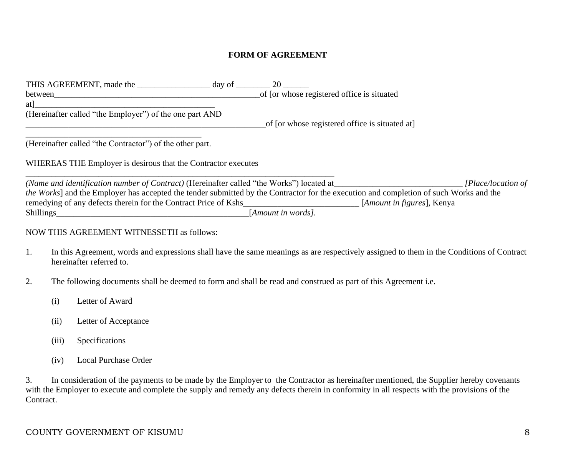## **FORM OF AGREEMENT**

| THIS AGREEMENT, made the day of                                                                                                                                                                           | 20                                             |                                     |                    |
|-----------------------------------------------------------------------------------------------------------------------------------------------------------------------------------------------------------|------------------------------------------------|-------------------------------------|--------------------|
| between                                                                                                                                                                                                   | of [or whose registered office is situated     |                                     |                    |
| atl                                                                                                                                                                                                       |                                                |                                     |                    |
| (Hereinafter called "the Employer") of the one part AND                                                                                                                                                   |                                                |                                     |                    |
|                                                                                                                                                                                                           | of [or whose registered office is situated at] |                                     |                    |
| (Hereinafter called "the Contractor") of the other part.<br>WHEREAS THE Employer is desirous that the Contractor executes                                                                                 |                                                |                                     |                    |
| (Name and identification number of Contract) (Hereinafter called "the Works") located at                                                                                                                  |                                                |                                     | [Place/location of |
| the Works] and the Employer has accepted the tender submitted by the Contractor for the execution and completion of such Works and the<br>remedying of any defects therein for the Contract Price of Kshs |                                                | [ <i>Amount in figures</i> ], Kenya |                    |
| Shillings                                                                                                                                                                                                 | [Amount in words].                             |                                     |                    |

#### NOW THIS AGREEMENT WITNESSETH as follows:

- 1. In this Agreement, words and expressions shall have the same meanings as are respectively assigned to them in the Conditions of Contract hereinafter referred to.
- 2. The following documents shall be deemed to form and shall be read and construed as part of this Agreement i.e.
	- (i) Letter of Award
	- (ii) Letter of Acceptance
	- (iii) Specifications
	- (iv) Local Purchase Order

3. In consideration of the payments to be made by the Employer tothe Contractor as hereinafter mentioned, the Supplier hereby covenants with the Employer to execute and complete the supply and remedy any defects therein in conformity in all respects with the provisions of the Contract.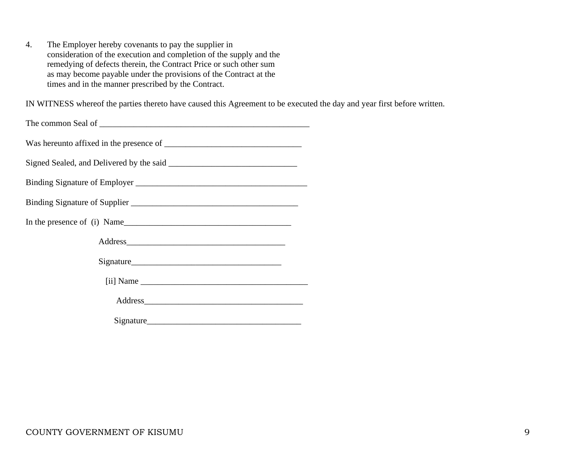4. The Employer hereby covenants to pay the supplier in consideration of the execution and completion of the supply and the remedying of defects therein, the Contract Price or such other sum as may become payable under the provisions of the Contract at the times and in the manner prescribed by the Contract.

IN WITNESS whereof the parties thereto have caused this Agreement to be executed the day and year first before written.

| In the presence of (i) Name |  |
|-----------------------------|--|
|                             |  |
|                             |  |
|                             |  |
|                             |  |
|                             |  |

Signature\_\_\_\_\_\_\_\_\_\_\_\_\_\_\_\_\_\_\_\_\_\_\_\_\_\_\_\_\_\_\_\_\_\_\_\_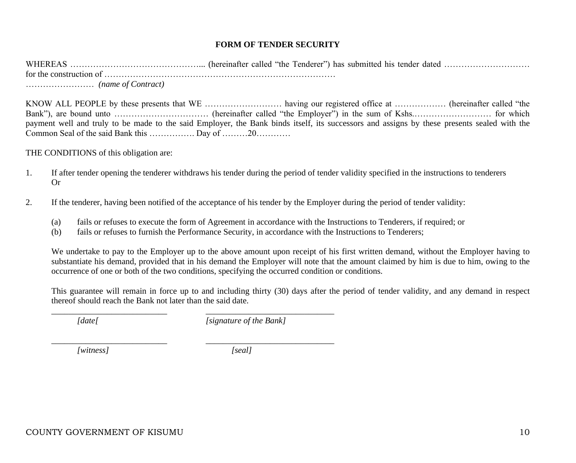## **FORM OF TENDER SECURITY**

WHEREAS ………………………………………... (hereinafter called "the Tenderer") has submitted his tender dated ………………………… for the construction of ……………………………………………………………………… …………………… *(name of Contract)*

KNOW ALL PEOPLE by these presents that WE ……………………… having our registered office at ……………… (hereinafter called "the Bank"), are bound unto ……………………………………… (hereinafter called "the Employer") in the sum of Kshs.………………………… for which payment well and truly to be made to the said Employer, the Bank binds itself, its successors and assigns by these presents sealed with the Common Seal of the said Bank this ……………. Day of ………20…………

THE CONDITIONS of this obligation are:

- 1. If after tender opening the tenderer withdraws his tender during the period of tender validity specified in the instructions to tenderers Or
- 2. If the tenderer, having been notified of the acceptance of his tender by the Employer during the period of tender validity:
	- (a) fails or refuses to execute the form of Agreement in accordance with the Instructions to Tenderers, if required; or
	- (b) fails or refuses to furnish the Performance Security, in accordance with the Instructions to Tenderers;

We undertake to pay to the Employer up to the above amount upon receipt of his first written demand, without the Employer having to substantiate his demand, provided that in his demand the Employer will note that the amount claimed by him is due to him, owing to the occurrence of one or both of the two conditions, specifying the occurred condition or conditions.

This guarantee will remain in force up to and including thirty (30) days after the period of tender validity, and any demand in respect thereof should reach the Bank not later than the said date.

*[date[ [signature of the Bank]*

\_\_\_\_\_\_\_\_\_\_\_\_\_\_\_\_\_\_\_\_\_\_\_\_\_\_\_ \_\_\_\_\_\_\_\_\_\_\_\_\_\_\_\_\_\_\_\_\_\_\_\_\_\_\_\_\_\_

*\_\_\_\_\_\_\_\_\_\_\_\_\_\_\_\_\_\_\_\_\_\_\_\_\_\_\_ \_\_\_\_\_\_\_\_\_\_\_\_\_\_\_\_\_\_\_\_\_\_\_\_\_\_\_\_\_\_*

*[witness] [seal]*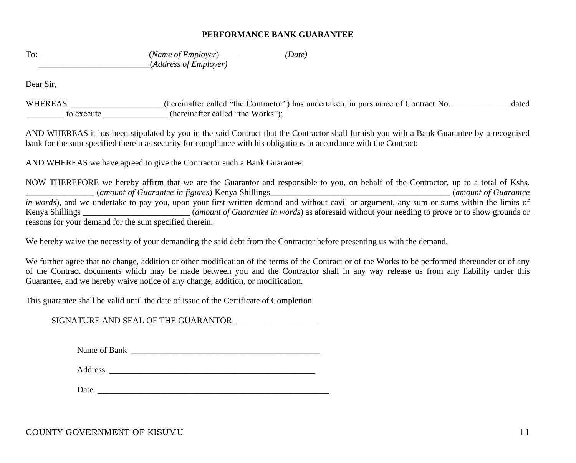#### **PERFORMANCE BANK GUARANTEE**

To:  $(Name of Emplayer)$  *(Date) (Date)* \_\_\_\_\_\_\_\_\_\_\_\_\_\_\_\_\_\_\_\_\_\_\_\_\_\_(*Address of Employer)*

Dear Sir,

WHEREAS (hereinafter called "the Contractor") has undertaken, in pursuance of Contract No. \_\_\_\_\_\_\_\_\_\_\_\_\_ dated to execute the Works"); (hereinafter called "the Works");

AND WHEREAS it has been stipulated by you in the said Contract that the Contractor shall furnish you with a Bank Guarantee by a recognised bank for the sum specified therein as security for compliance with his obligations in accordance with the Contract;

AND WHEREAS we have agreed to give the Contractor such a Bank Guarantee:

NOW THEREFORE we hereby affirm that we are the Guarantor and responsible to you, on behalf of the Contractor, up to a total of Kshs. \_\_\_\_\_\_\_\_\_\_\_\_\_\_\_\_ (*amount of Guarantee in figures*) Kenya Shillings\_\_\_\_\_\_\_\_\_\_\_\_\_\_\_\_\_\_\_\_\_\_\_\_\_\_\_\_\_\_\_\_\_\_\_\_\_\_\_\_\_\_ (*amount of Guarantee in words*), and we undertake to pay you, upon your first written demand and without cavil or argument, any sum or sums within the limits of Kenya Shillings \_\_\_\_\_\_\_\_\_\_\_\_\_\_\_\_\_\_\_\_\_\_\_\_\_ (*amount of Guarantee in words*) as aforesaid without your needing to prove or to show grounds or reasons for your demand for the sum specified therein.

We hereby waive the necessity of your demanding the said debt from the Contractor before presenting us with the demand.

We further agree that no change, addition or other modification of the terms of the Contract or of the Works to be performed thereunder or of any of the Contract documents which may be made between you and the Contractor shall in any way release us from any liability under this Guarantee, and we hereby waive notice of any change, addition, or modification.

This guarantee shall be valid until the date of issue of the Certificate of Completion.

SIGNATURE AND SEAL OF THE GUARANTOR \_\_\_\_\_\_\_\_\_\_\_\_\_\_\_\_\_\_\_

| Name of Bank |  |
|--------------|--|
|              |  |

Address \_\_\_\_\_\_\_\_\_\_\_\_\_\_\_\_\_\_\_\_\_\_\_\_\_\_\_\_\_\_\_\_\_\_\_\_\_\_\_\_\_\_\_\_\_\_\_\_

Date \_\_\_\_\_\_\_\_\_\_\_\_\_\_\_\_\_\_\_\_\_\_\_\_\_\_\_\_\_\_\_\_\_\_\_\_\_\_\_\_\_\_\_\_\_\_\_\_\_\_\_\_\_\_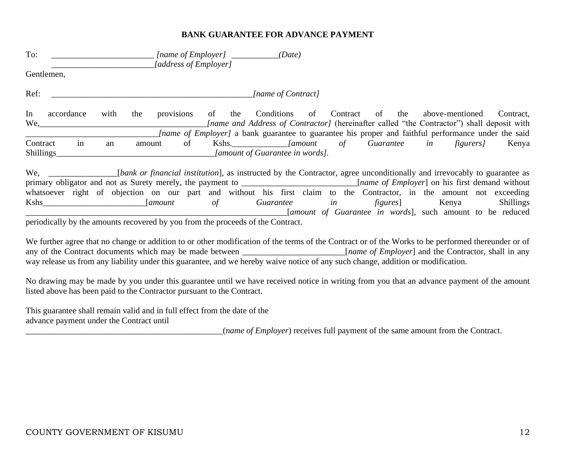#### **BANK GUARANTEE FOR ADVANCE PAYMENT**

| To:                                                                                                                                                                                                                            | (Date)<br>[name of Employer] $\qquad \qquad$<br>[address of Employer]                                                                                                                                                                                                                                                                                                                                                                                                                                                                                                                                                                                       |
|--------------------------------------------------------------------------------------------------------------------------------------------------------------------------------------------------------------------------------|-------------------------------------------------------------------------------------------------------------------------------------------------------------------------------------------------------------------------------------------------------------------------------------------------------------------------------------------------------------------------------------------------------------------------------------------------------------------------------------------------------------------------------------------------------------------------------------------------------------------------------------------------------------|
| Gentlemen,                                                                                                                                                                                                                     |                                                                                                                                                                                                                                                                                                                                                                                                                                                                                                                                                                                                                                                             |
| Ref:                                                                                                                                                                                                                           | [name of Contract]                                                                                                                                                                                                                                                                                                                                                                                                                                                                                                                                                                                                                                          |
| In<br>accordance<br>with<br>the                                                                                                                                                                                                | provisions<br>of the<br>Conditions<br>Contract<br>of<br>the<br>of<br>above-mentioned<br>Contract,<br><i>Iname and Address of Contractor]</i> (hereinafter called "the Contractor") shall deposit with<br><i>Iname of Employer]</i> a bank guarantee to guarantee his proper and faithful performance under the said                                                                                                                                                                                                                                                                                                                                         |
| in<br>Contract<br>an<br>Shillings                                                                                                                                                                                              | of Guarantee in figurers]<br>Kshs. [amount]<br>of<br>Kenya<br>amount<br><i>Jamount of Guarantee in words].</i>                                                                                                                                                                                                                                                                                                                                                                                                                                                                                                                                              |
| Kshs New York and the Second Second Second Second Second Second Second Second Second Second Second Second Second Second Second Second Second Second Second Second Second Second Second Second Second Second Second Second Seco | We, ______________________[bank or financial institution], as instructed by the Contractor, agree unconditionally and irrevocably to guarantee as<br>primary obligator and not as Surety merely, the payment to _________________________[name of Employer] on his first demand without<br>whatsoever right of objection on our part and without his first claim to the Contractor, in the amount not exceeding<br>Guarantee in<br><b>Shillings</b><br><i>amount</i><br>of<br><i>figures</i> ] Kenya<br><i>Samount of Guarantee in words</i> , such amount to be reduced<br>periodically by the amounts recovered by you from the proceeds of the Contract. |

We further agree that no change or addition to or other modification of the terms of the Contract or of the Works to be performed thereunder or of any of the Contract documents which may be made between [name of Employer] any of the Contract documents which may be made between \_\_\_\_\_\_\_\_\_\_\_\_\_\_\_\_\_\_\_\_\_\_\_\_\_ way release us from any liability under this guarantee, and we hereby waive notice of any such change, addition or modification.

No drawing may be made by you under this guarantee until we have received notice in writing from you that an advance payment of the amount listed above has been paid to the Contractor pursuant to the Contract.

This guarantee shall remain valid and in full effect from the date of the advance payment under the Contract until

\_\_\_\_\_\_\_\_\_\_\_\_\_\_\_\_\_\_\_\_\_\_\_\_\_\_\_\_\_\_\_\_\_\_\_\_\_\_\_\_\_\_\_\_\_\_(*name of Employer*) receives full payment of the same amount from the Contract.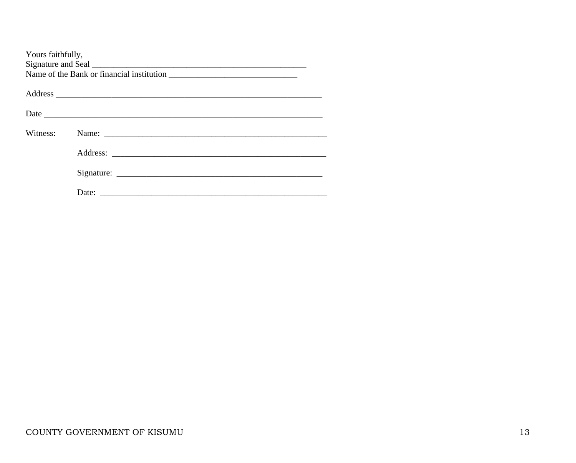| Yours faithfully, |  |
|-------------------|--|
|                   |  |
|                   |  |
| Witness:          |  |
|                   |  |
|                   |  |
|                   |  |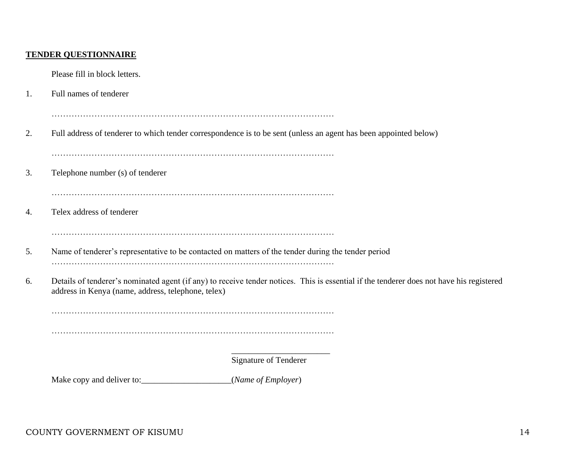## **TENDER QUESTIONNAIRE**

Please fill in block letters.

1. Full names of tenderer

………………………………………………………………………………………

2. Full address of tenderer to which tender correspondence is to be sent (unless an agent has been appointed below)

………………………………………………………………………………………

3. Telephone number (s) of tenderer

………………………………………………………………………………………

4. Telex address of tenderer

………………………………………………………………………………………

- 5. Name of tenderer's representative to be contacted on matters of the tender during the tender period ………………………………………………………………………………………
- 6. Details of tenderer's nominated agent (if any) to receive tender notices. This is essential if the tenderer does not have his registered address in Kenya (name, address, telephone, telex)

………………………………………………………………………………………

………………………………………………………………………………………

\_\_\_\_\_\_\_\_\_\_\_\_\_\_\_\_\_\_\_\_\_\_\_ Signature of Tenderer

Make copy and deliver to:\_\_\_\_\_\_\_\_\_\_\_\_\_\_\_\_\_\_\_\_\_(*Name of Employer*)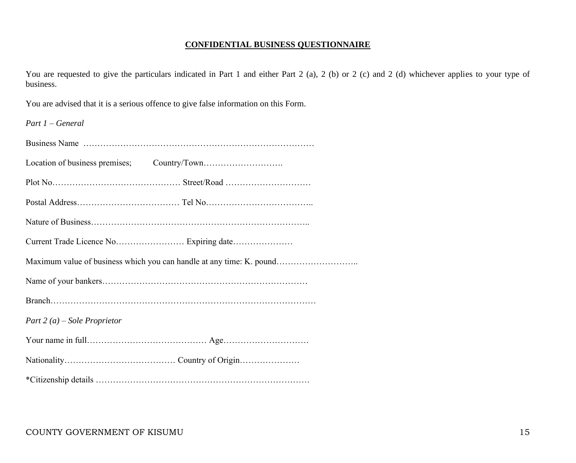### **CONFIDENTIAL BUSINESS QUESTIONNAIRE**

You are requested to give the particulars indicated in Part 1 and either Part 2 (a), 2 (b) or 2 (c) and 2 (d) whichever applies to your type of business.

You are advised that it is a serious offence to give false information on this Form.

| $Part 1 - General$                                                   |
|----------------------------------------------------------------------|
|                                                                      |
|                                                                      |
|                                                                      |
|                                                                      |
|                                                                      |
|                                                                      |
| Maximum value of business which you can handle at any time: K. pound |
|                                                                      |
|                                                                      |
| Part 2 (a) – Sole Proprietor                                         |
|                                                                      |
|                                                                      |
|                                                                      |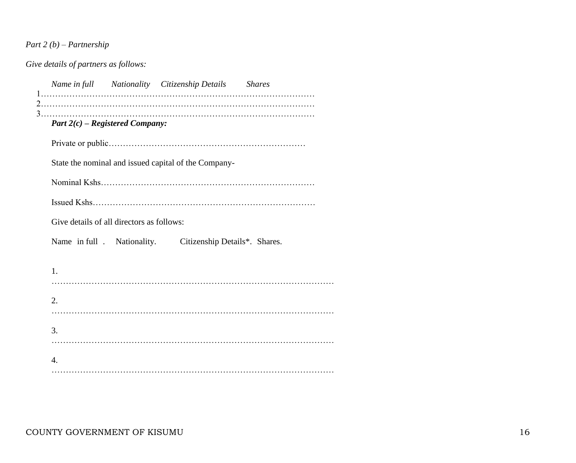# *Part 2 (b) – Partnership*

*Give details of partners as follows:*

|                  |                                           | Name in full Nationality Citizenship Details Shares  |  |
|------------------|-------------------------------------------|------------------------------------------------------|--|
|                  | Part $2(c)$ – Registered Company:         |                                                      |  |
|                  |                                           |                                                      |  |
|                  |                                           | State the nominal and issued capital of the Company- |  |
|                  |                                           |                                                      |  |
|                  |                                           |                                                      |  |
|                  | Give details of all directors as follows: |                                                      |  |
|                  | Name in full. Nationality.                | Citizenship Details*. Shares.                        |  |
| $\mathbf{1}$ .   |                                           |                                                      |  |
| 2.               |                                           |                                                      |  |
| 3.               |                                           |                                                      |  |
| $\overline{4}$ . |                                           |                                                      |  |
|                  |                                           |                                                      |  |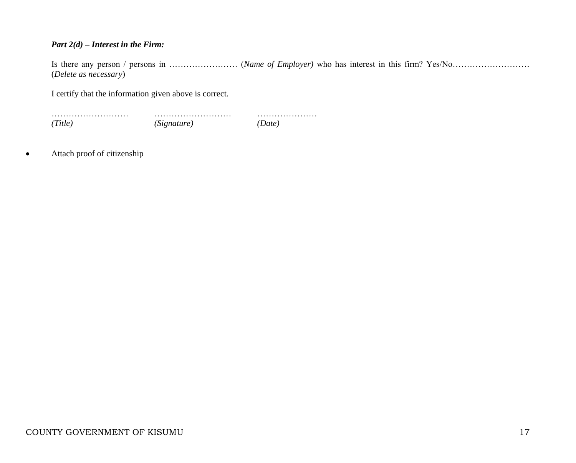## *Part 2(d) – Interest in the Firm:*

Is there any person / persons in …………………… (*Name of Employer)* who has interest in this firm? Yes/No……………………… (*Delete as necessary*)

I certify that the information given above is correct.

……………………… ……………………… ………………… *(Title) (Signature) (Date)*

• Attach proof of citizenship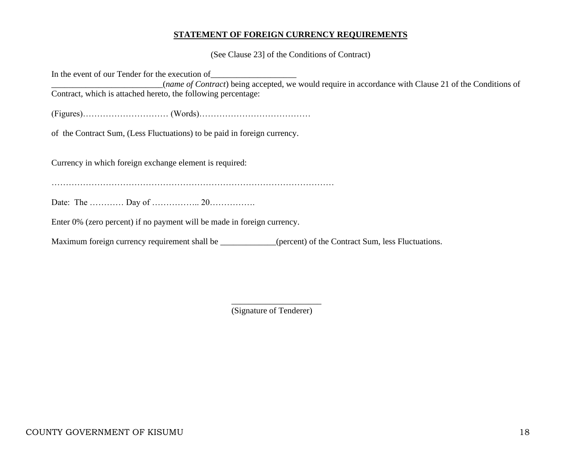### **STATEMENT OF FOREIGN CURRENCY REQUIREMENTS**

(See Clause 23] of the Conditions of Contract)

In the event of our Tender for the execution of \_\_\_\_\_\_\_\_\_\_\_\_\_\_\_\_\_\_\_\_\_\_\_\_\_\_(*name of Contract*) being accepted, we would require in accordance with Clause 21 of the Conditions of Contract, which is attached hereto, the following percentage: (Figures)………………………… (Words)………………………………… of the Contract Sum, (Less Fluctuations) to be paid in foreign currency. Currency in which foreign exchange element is required: ……………………………………………………………………………………… Date: The …………… Day of ……………… 20……………… Enter 0% (zero percent) if no payment will be made in foreign currency. Maximum foreign currency requirement shall be \_\_\_\_\_\_\_\_\_\_\_(percent) of the Contract Sum, less Fluctuations.

> \_\_\_\_\_\_\_\_\_\_\_\_\_\_\_\_\_\_\_\_\_ (Signature of Tenderer)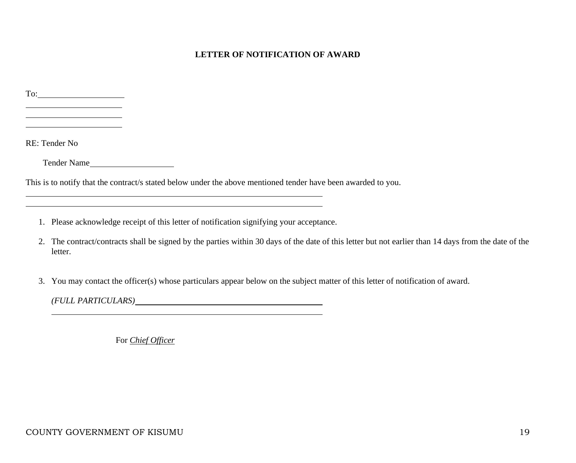## **LETTER OF NOTIFICATION OF AWARD**

| $\Gamma$ o: $\qquad \qquad$                                                                                                                             |
|---------------------------------------------------------------------------------------------------------------------------------------------------------|
|                                                                                                                                                         |
|                                                                                                                                                         |
| RE: Tender No                                                                                                                                           |
| Tender Name                                                                                                                                             |
| This is to notify that the contract/s stated below under the above mentioned tender have been awarded to you.                                           |
|                                                                                                                                                         |
| Please acknowledge receipt of this letter of notification signifying your acceptance.<br>1.                                                             |
| The contract/contracts shall be signed by the parties within 30 days of the date of this letter but not earlier than 14 days from the date of the<br>2. |

3. You may contact the officer(s) whose particulars appear below on the subject matter of this letter of notification of award.

*(FULL PARTICULARS)*

For *Chief Officer*

letter.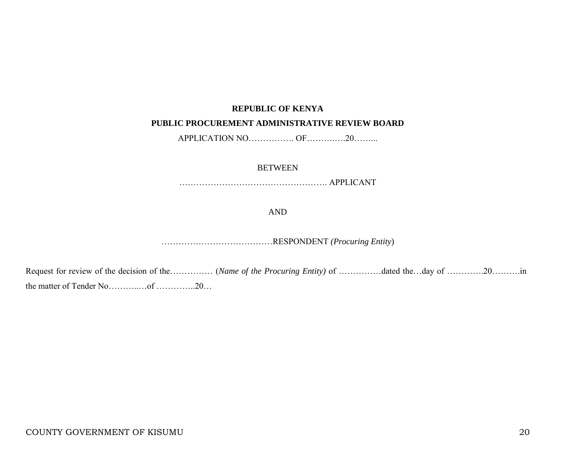### **REPUBLIC OF KENYA**

#### **PUBLIC PROCUREMENT ADMINISTRATIVE REVIEW BOARD**

APPLICATION NO……………… OF……………20………

#### **BETWEEN**

……………………………………………. APPLICANT

AND

…………………………………RESPONDENT *(Procuring Entity*)

Request for review of the decision of the…………… (*Name of the Procuring Entity)* of ……………dated the…day of ………….20……….in the matter of Tender No………..…of …………..20…